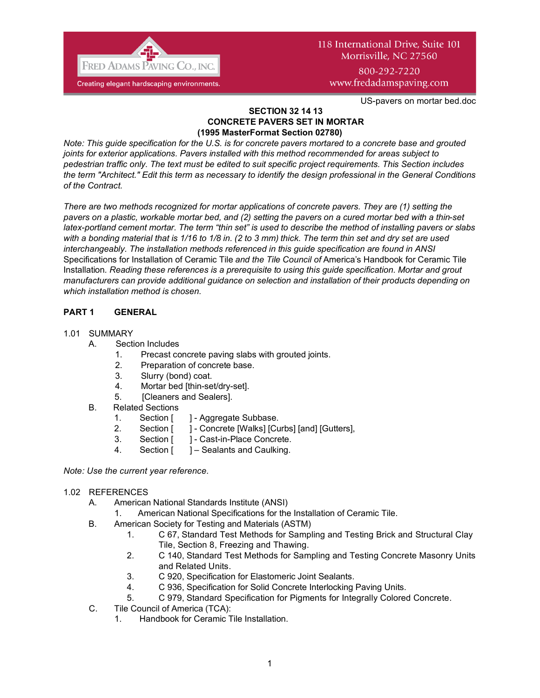

# 118 International Drive, Suite 101 Morrisville, NC 27560 800-292-7220

www.fredadamspaving.com

US-pavers on mortar bed.doc

#### **SECTION 32 14 13 CONCRETE PAVERS SET IN MORTAR (1995 MasterFormat Section 02780)**

*Note: This guide specification for the U.S. is for concrete pavers mortared to a concrete base and grouted joints for exterior applications. Pavers installed with this method recommended for areas subject to pedestrian traffic only. The text must be edited to suit specific project requirements. This Section includes the term "Architect." Edit this term as necessary to identify the design professional in the General Conditions of the Contract.* 

*There are two methods recognized for mortar applications of concrete pavers. They are (1) setting the pavers on a plastic, workable mortar bed, and (2) setting the pavers on a cured mortar bed with a thin-set latex-portland cement mortar. The term "thin set" is used to describe the method of installing pavers or slabs with a bonding material that is 1/16 to 1/8 in. (2 to 3 mm) thick. The term thin set and dry set are used interchangeably. The installation methods referenced in this guide specification are found in ANSI*  Specifications for Installation of Ceramic Tile *and the Tile Council of* America's Handbook for Ceramic Tile Installation*. Reading these references is a prerequisite to using this guide specification. Mortar and grout manufacturers can provide additional guidance on selection and installation of their products depending on which installation method is chosen.*

# **PART 1 GENERAL**

# 1.01 SUMMARY

- A. Section Includes
	- 1. Precast concrete paving slabs with grouted joints.
	- 2. Preparation of concrete base.
	- 3. Slurry (bond) coat.
	- 4. Mortar bed [thin-set/dry-set].
	- 5. [Cleaners and Sealers].
- B. Related Sections
	- 1. Section [ ] Aggregate Subbase.
	- 2. Section [ ] Concrete [Walks] [Curbs] [and] [Gutters],
	- 3. Section [ ] Cast-in-Place Concrete.
	- 4. Section [ ] Sealants and Caulking.

*Note: Use the current year reference.*

# 1.02 REFERENCES

- A. American National Standards Institute (ANSI)
	- 1. American National Specifications for the Installation of Ceramic Tile.
- B. American Society for Testing and Materials (ASTM)
	- 1. C 67, Standard Test Methods for Sampling and Testing Brick and Structural Clay Tile, Section 8, Freezing and Thawing.
	- 2. C 140, Standard Test Methods for Sampling and Testing Concrete Masonry Units and Related Units.
	- 3. C 920, Specification for Elastomeric Joint Sealants.
	- 4. C 936, Specification for Solid Concrete Interlocking Paving Units.
	- 5. C 979, Standard Specification for Pigments for Integrally Colored Concrete.
- C. Tile Council of America (TCA):
	- 1. Handbook for Ceramic Tile Installation.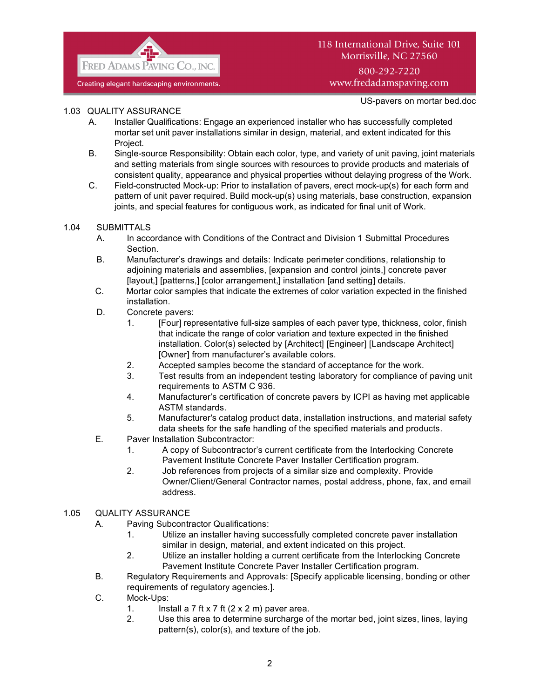

# 118 International Drive, Suite 101 Morrisville, NC 27560 800-292-7220 www.fredadamspaving.com

US-pavers on mortar bed.doc

## 1.03 QUALITY ASSURANCE

- A. Installer Qualifications: Engage an experienced installer who has successfully completed mortar set unit paver installations similar in design, material, and extent indicated for this Project.
- B. Single-source Responsibility: Obtain each color, type, and variety of unit paving, joint materials and setting materials from single sources with resources to provide products and materials of consistent quality, appearance and physical properties without delaying progress of the Work.
- C. Field-constructed Mock-up: Prior to installation of pavers, erect mock-up(s) for each form and pattern of unit paver required. Build mock-up(s) using materials, base construction, expansion joints, and special features for contiguous work, as indicated for final unit of Work.

## 1.04 SUBMITTALS

- A. In accordance with Conditions of the Contract and Division 1 Submittal Procedures Section.
- B. Manufacturer's drawings and details: Indicate perimeter conditions, relationship to adjoining materials and assemblies, [expansion and control joints,] concrete paver [layout,] [patterns,] [color arrangement,] installation [and setting] details.
- C. Mortar color samples that indicate the extremes of color variation expected in the finished installation.
- D. Concrete pavers:
	- 1. [Four] representative full-size samples of each paver type, thickness, color, finish that indicate the range of color variation and texture expected in the finished installation. Color(s) selected by [Architect] [Engineer] [Landscape Architect] [Owner] from manufacturer's available colors.
	- 2. Accepted samples become the standard of acceptance for the work.
	- 3. Test results from an independent testing laboratory for compliance of paving unit requirements to ASTM C 936.
	- 4. Manufacturer's certification of concrete pavers by ICPI as having met applicable ASTM standards.
	- 5. Manufacturer's catalog product data, installation instructions, and material safety data sheets for the safe handling of the specified materials and products.
- E. Paver Installation Subcontractor:
	- 1. A copy of Subcontractor's current certificate from the Interlocking Concrete Pavement Institute Concrete Paver Installer Certification program.
	- 2. Job references from projects of a similar size and complexity. Provide Owner/Client/General Contractor names, postal address, phone, fax, and email address.

# 1.05 QUALITY ASSURANCE

- A. Paving Subcontractor Qualifications:
	- 1. Utilize an installer having successfully completed concrete paver installation similar in design, material, and extent indicated on this project.
	- 2. Utilize an installer holding a current certificate from the Interlocking Concrete Pavement Institute Concrete Paver Installer Certification program.
- B. Regulatory Requirements and Approvals: [Specify applicable licensing, bonding or other requirements of regulatory agencies.].
- C. Mock-Ups:
	- 1. Install a 7 ft x 7 ft  $(2 \times 2 \text{ m})$  paver area.
	- 2. Use this area to determine surcharge of the mortar bed, joint sizes, lines, laying pattern(s), color(s), and texture of the job.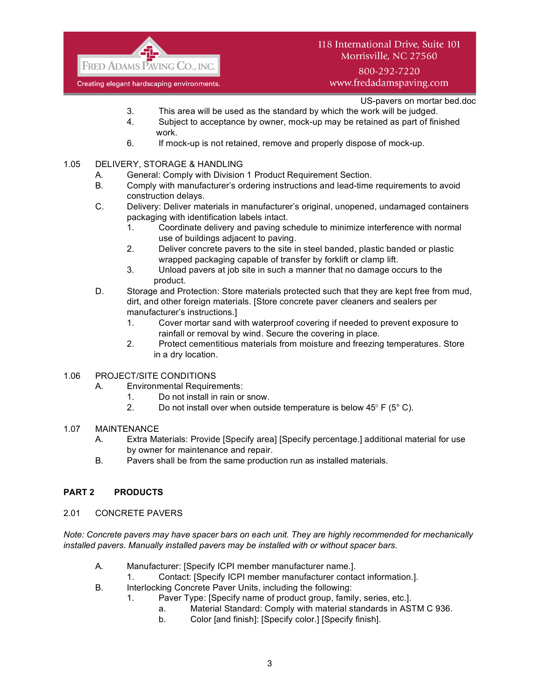

# 118 International Drive, Suite 101 Morrisville, NC 27560

800-292-7220 www.fredadamspaving.com

US-pavers on mortar bed.doc

- 3. This area will be used as the standard by which the work will be judged.
- 4. Subject to acceptance by owner, mock-up may be retained as part of finished work.
- 6. If mock-up is not retained, remove and properly dispose of mock-up.
- 1.05 DELIVERY, STORAGE & HANDLING
	- A. General: Comply with Division 1 Product Requirement Section.
	- B. Comply with manufacturer's ordering instructions and lead-time requirements to avoid construction delays.
	- C. Delivery: Deliver materials in manufacturer's original, unopened, undamaged containers packaging with identification labels intact.
		- 1. Coordinate delivery and paving schedule to minimize interference with normal use of buildings adjacent to paving.
		- 2. Deliver concrete pavers to the site in steel banded, plastic banded or plastic wrapped packaging capable of transfer by forklift or clamp lift.
		- 3. Unload pavers at job site in such a manner that no damage occurs to the product.
	- D. Storage and Protection: Store materials protected such that they are kept free from mud, dirt, and other foreign materials. [Store concrete paver cleaners and sealers per manufacturer's instructions.]
		- 1. Cover mortar sand with waterproof covering if needed to prevent exposure to rainfall or removal by wind. Secure the covering in place.
		- 2. Protect cementitious materials from moisture and freezing temperatures. Store in a dry location.
- 1.06 PROJECT/SITE CONDITIONS
	- A. Environmental Requirements:
		- 1. Do not install in rain or snow.
		- 2. Do not install over when outside temperature is below  $45^{\circ}$  F ( $5^{\circ}$  C).
- 1.07 MAINTENANCE
	- A. Extra Materials: Provide [Specify area] [Specify percentage.] additional material for use by owner for maintenance and repair.
	- B. Pavers shall be from the same production run as installed materials.

# **PART 2 PRODUCTS**

#### 2.01 CONCRETE PAVERS

*Note: Concrete pavers may have spacer bars on each unit. They are highly recommended for mechanically installed pavers. Manually installed pavers may be installed with or without spacer bars.*

- A. Manufacturer: [Specify ICPI member manufacturer name.].
	- 1. Contact: [Specify ICPI member manufacturer contact information.].
- B. Interlocking Concrete Paver Units, including the following:
	- 1. Paver Type: [Specify name of product group, family, series, etc.].
		- a. Material Standard: Comply with material standards in ASTM C 936.
		- b. Color [and finish]: [Specify color.] [Specify finish].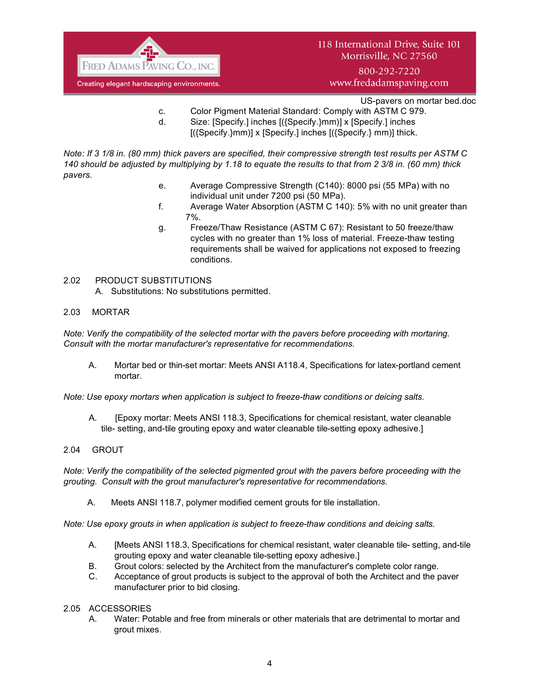

800-292-7220 www.fredadamspaving.com

US-pavers on mortar bed.doc

- c. Color Pigment Material Standard: Comply with ASTM C 979.
- d. Size: [Specify.] inches [({Specify.}mm)] x [Specify.] inches  $[(\text{Specify.}\}m m)] \times [\text{Specify.}]$  inches  $[(\text{Specify.}\}m m)]$  thick.

*Note: If 3 1/8 in. (80 mm) thick pavers are specified, their compressive strength test results per ASTM C 140 should be adjusted by multiplying by 1.18 to equate the results to that from 2 3/8 in. (60 mm) thick pavers.*

- e. Average Compressive Strength (C140): 8000 psi (55 MPa) with no individual unit under 7200 psi (50 MPa).
- f. Average Water Absorption (ASTM C 140): 5% with no unit greater than 7%.
- g. Freeze/Thaw Resistance (ASTM C 67): Resistant to 50 freeze/thaw cycles with no greater than 1% loss of material. Freeze-thaw testing requirements shall be waived for applications not exposed to freezing conditions.

## 2.02 PRODUCT SUBSTITUTIONS

A. Substitutions: No substitutions permitted.

## 2.03 MORTAR

*Note: Verify the compatibility of the selected mortar with the pavers before proceeding with mortaring. Consult with the mortar manufacturer's representative for recommendations.*

A. Mortar bed or thin-set mortar: Meets ANSI A118.4, Specifications for latex-portland cement mortar.

*Note: Use epoxy mortars when application is subject to freeze-thaw conditions or deicing salts.*

A. [Epoxy mortar: Meets ANSI 118.3, Specifications for chemical resistant, water cleanable tile- setting, and-tile grouting epoxy and water cleanable tile-setting epoxy adhesive.]

#### 2.04 GROUT

*Note: Verify the compatibility of the selected pigmented grout with the pavers before proceeding with the grouting. Consult with the grout manufacturer's representative for recommendations.*

A. Meets ANSI 118.7, polymer modified cement grouts for tile installation.

*Note: Use epoxy grouts in when application is subject to freeze-thaw conditions and deicing salts.*

- A. [Meets ANSI 118.3, Specifications for chemical resistant, water cleanable tile- setting, and-tile grouting epoxy and water cleanable tile-setting epoxy adhesive.]
- B. Grout colors: selected by the Architect from the manufacturer's complete color range.
- C. Acceptance of grout products is subject to the approval of both the Architect and the paver manufacturer prior to bid closing.

#### 2.05 ACCESSORIES

A. Water: Potable and free from minerals or other materials that are detrimental to mortar and grout mixes.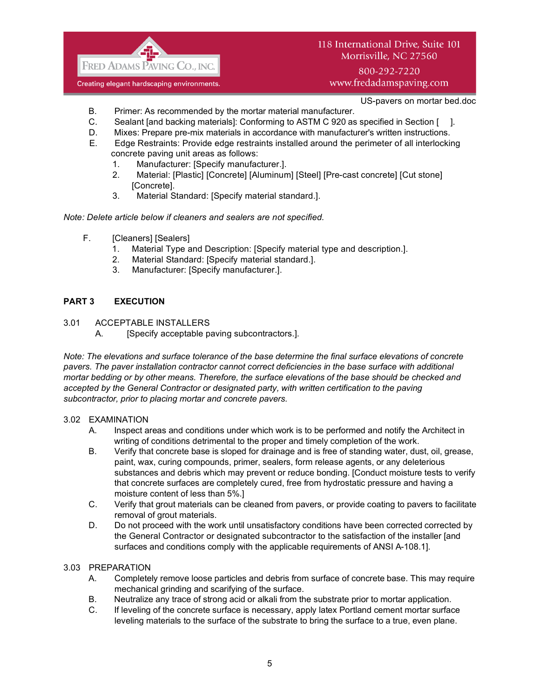

www.fredadamspaving.com

US-pavers on mortar bed.doc

- B. Primer: As recommended by the mortar material manufacturer.
- C. Sealant [and backing materials]: Conforming to ASTM C 920 as specified in Section [ ].
- D. Mixes: Prepare pre-mix materials in accordance with manufacturer's written instructions.
- E. Edge Restraints: Provide edge restraints installed around the perimeter of all interlocking concrete paving unit areas as follows:
	- 1. Manufacturer: [Specify manufacturer.].
	- 2. Material: [Plastic] [Concrete] [Aluminum] [Steel] [Pre-cast concrete] [Cut stone] [Concrete].
	- 3. Material Standard: [Specify material standard.].

#### *Note: Delete article below if cleaners and sealers are not specified.*

- F. [Cleaners] [Sealers]
	- 1. Material Type and Description: [Specify material type and description.].
	- 2. Material Standard: [Specify material standard.].
	- 3. Manufacturer: [Specify manufacturer.].

## **PART 3 EXECUTION**

- 3.01 ACCEPTABLE INSTALLERS
	- A. [Specify acceptable paving subcontractors.].

*Note: The elevations and surface tolerance of the base determine the final surface elevations of concrete pavers. The paver installation contractor cannot correct deficiencies in the base surface with additional mortar bedding or by other means. Therefore, the surface elevations of the base should be checked and accepted by the General Contractor or designated party, with written certification to the paving subcontractor, prior to placing mortar and concrete pavers.*

#### 3.02 EXAMINATION

- A. Inspect areas and conditions under which work is to be performed and notify the Architect in writing of conditions detrimental to the proper and timely completion of the work.
- B. Verify that concrete base is sloped for drainage and is free of standing water, dust, oil, grease, paint, wax, curing compounds, primer, sealers, form release agents, or any deleterious substances and debris which may prevent or reduce bonding. [Conduct moisture tests to verify that concrete surfaces are completely cured, free from hydrostatic pressure and having a moisture content of less than 5%.]
- C. Verify that grout materials can be cleaned from pavers, or provide coating to pavers to facilitate removal of grout materials.
- D. Do not proceed with the work until unsatisfactory conditions have been corrected corrected by the General Contractor or designated subcontractor to the satisfaction of the installer [and surfaces and conditions comply with the applicable requirements of ANSI A-108.1].

#### 3.03 PREPARATION

- A. Completely remove loose particles and debris from surface of concrete base. This may require mechanical grinding and scarifying of the surface.
- B. Neutralize any trace of strong acid or alkali from the substrate prior to mortar application.
- C. If leveling of the concrete surface is necessary, apply latex Portland cement mortar surface leveling materials to the surface of the substrate to bring the surface to a true, even plane.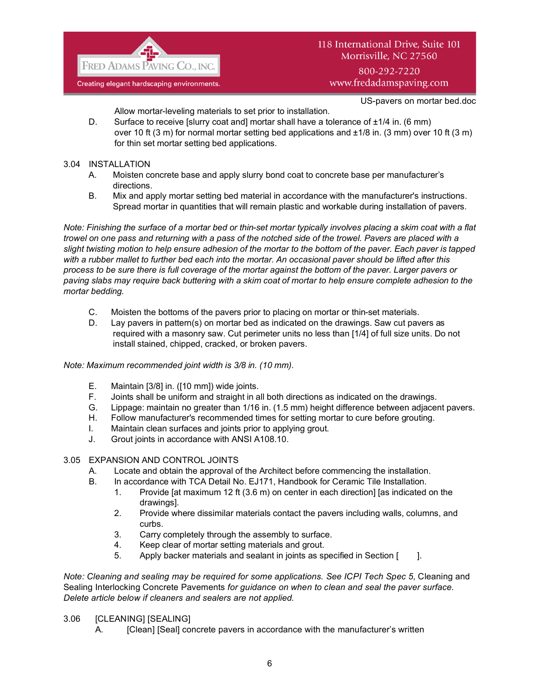

US-pavers on mortar bed.doc

Allow mortar-leveling materials to set prior to installation.

- D. Surface to receive [slurry coat and] mortar shall have a tolerance of  $\pm 1/4$  in. (6 mm) over 10 ft (3 m) for normal mortar setting bed applications and  $\pm 1/8$  in. (3 mm) over 10 ft (3 m) for thin set mortar setting bed applications.
- 3.04 INSTALLATION
	- A. Moisten concrete base and apply slurry bond coat to concrete base per manufacturer's directions.
	- B. Mix and apply mortar setting bed material in accordance with the manufacturer's instructions. Spread mortar in quantities that will remain plastic and workable during installation of pavers.

*Note: Finishing the surface of a mortar bed or thin-set mortar typically involves placing a skim coat with a flat trowel on one pass and returning with a pass of the notched side of the trowel. Pavers are placed with a slight twisting motion to help ensure adhesion of the mortar to the bottom of the paver. Each paver is tapped with a rubber mallet to further bed each into the mortar. An occasional paver should be lifted after this process to be sure there is full coverage of the mortar against the bottom of the paver. Larger pavers or paving slabs may require back buttering with a skim coat of mortar to help ensure complete adhesion to the mortar bedding.*

- C. Moisten the bottoms of the pavers prior to placing on mortar or thin-set materials.
- D. Lay pavers in pattern(s) on mortar bed as indicated on the drawings. Saw cut pavers as required with a masonry saw. Cut perimeter units no less than [1/4] of full size units. Do not install stained, chipped, cracked, or broken pavers.

# *Note: Maximum recommended joint width is 3/8 in. (10 mm).*

- E. Maintain [3/8] in. ([10 mm]) wide joints.
- F. Joints shall be uniform and straight in all both directions as indicated on the drawings.
- G. Lippage: maintain no greater than 1/16 in. (1.5 mm) height difference between adjacent pavers.
- H. Follow manufacturer's recommended times for setting mortar to cure before grouting.
- I. Maintain clean surfaces and joints prior to applying grout.
- J. Grout joints in accordance with ANSI A108.10.

# 3.05 EXPANSION AND CONTROL JOINTS

- A. Locate and obtain the approval of the Architect before commencing the installation.
- B. In accordance with TCA Detail No. EJ171, Handbook for Ceramic Tile Installation.
	- 1. Provide [at maximum 12 ft (3.6 m) on center in each direction] [as indicated on the drawings].
	- 2. Provide where dissimilar materials contact the pavers including walls, columns, and curbs.
	- 3. Carry completely through the assembly to surface.
	- 4. Keep clear of mortar setting materials and grout.
	- 5. Apply backer materials and sealant in joints as specified in Section [ ].

*Note: Cleaning and sealing may be required for some applications. See ICPI Tech Spec 5, Cleaning and* Sealing Interlocking Concrete Pavements *for guidance on when to clean and seal the paver surface. Delete article below if cleaners and sealers are not applied.*

# 3.06 [CLEANING] [SEALING]

A. [Clean] [Seal] concrete pavers in accordance with the manufacturer's written